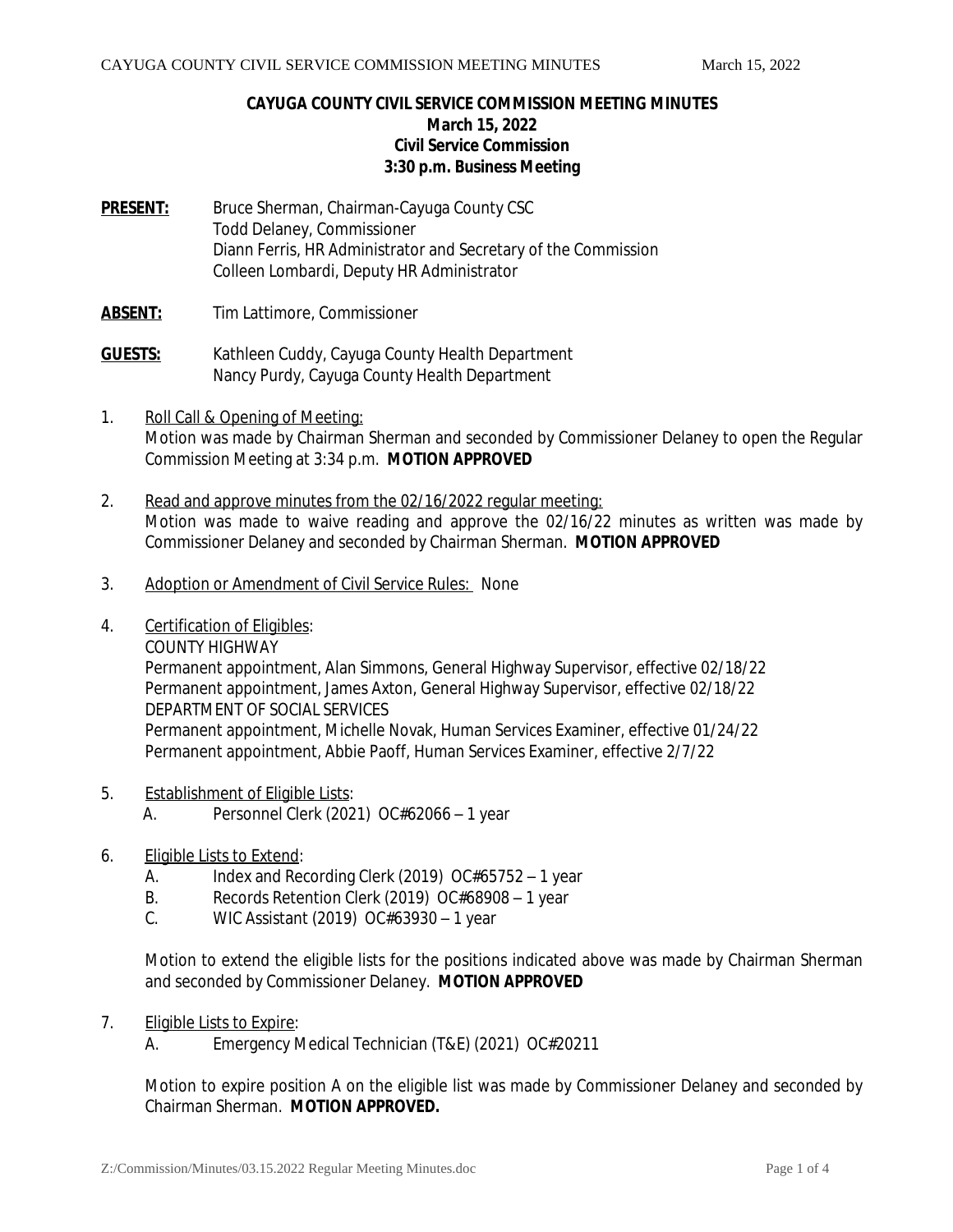### **CAYUGA COUNTY CIVIL SERVICE COMMISSION MEETING MINUTES March 15, 2022 Civil Service Commission 3:30 p.m. Business Meeting**

- **PRESENT:** Bruce Sherman, Chairman-Cayuga County CSC Todd Delaney, Commissioner Diann Ferris, HR Administrator and Secretary of the Commission Colleen Lombardi, Deputy HR Administrator
- **ABSENT:** Tim Lattimore, Commissioner
- **GUESTS:** Kathleen Cuddy, Cayuga County Health Department Nancy Purdy, Cayuga County Health Department
- 1. Roll Call & Opening of Meeting: Motion was made by Chairman Sherman and seconded by Commissioner Delaney to open the Regular Commission Meeting at 3:34 p.m. *MOTION APPROVED*
- 2. Read and approve minutes from the 02/16/2022 regular meeting: Motion was made to waive reading and approve the 02/16/22 minutes as written was made by Commissioner Delaney and seconded by Chairman Sherman. *MOTION APPROVED*
- 3. Adoption or Amendment of Civil Service Rules: None
- 4. Certification of Eligibles:

COUNTY HIGHWAY Permanent appointment, Alan Simmons, General Highway Supervisor, effective 02/18/22 Permanent appointment, James Axton, General Highway Supervisor, effective 02/18/22 DEPARTMENT OF SOCIAL SERVICES Permanent appointment, Michelle Novak, Human Services Examiner, effective 01/24/22 Permanent appointment, Abbie Paoff, Human Services Examiner, effective 2/7/22

- 5. Establishment of Eligible Lists: A. Personnel Clerk (2021) OC#62066 – 1 year
- 6. Eligible Lists to Extend:
	- A. Index and Recording Clerk (2019) OC#65752 1 year
	- B. Records Retention Clerk (2019) OC#68908 1 year
	- C. WIC Assistant (2019) OC#63930 1 year

Motion to extend the eligible lists for the positions indicated above was made by Chairman Sherman and seconded by Commissioner Delaney. *MOTION APPROVED*

- 7. Eligible Lists to Expire:
	- A. Emergency Medical Technician (T&E) (2021) OC#20211

Motion to expire position A on the eligible list was made by Commissioner Delaney and seconded by Chairman Sherman. *MOTION APPROVED.*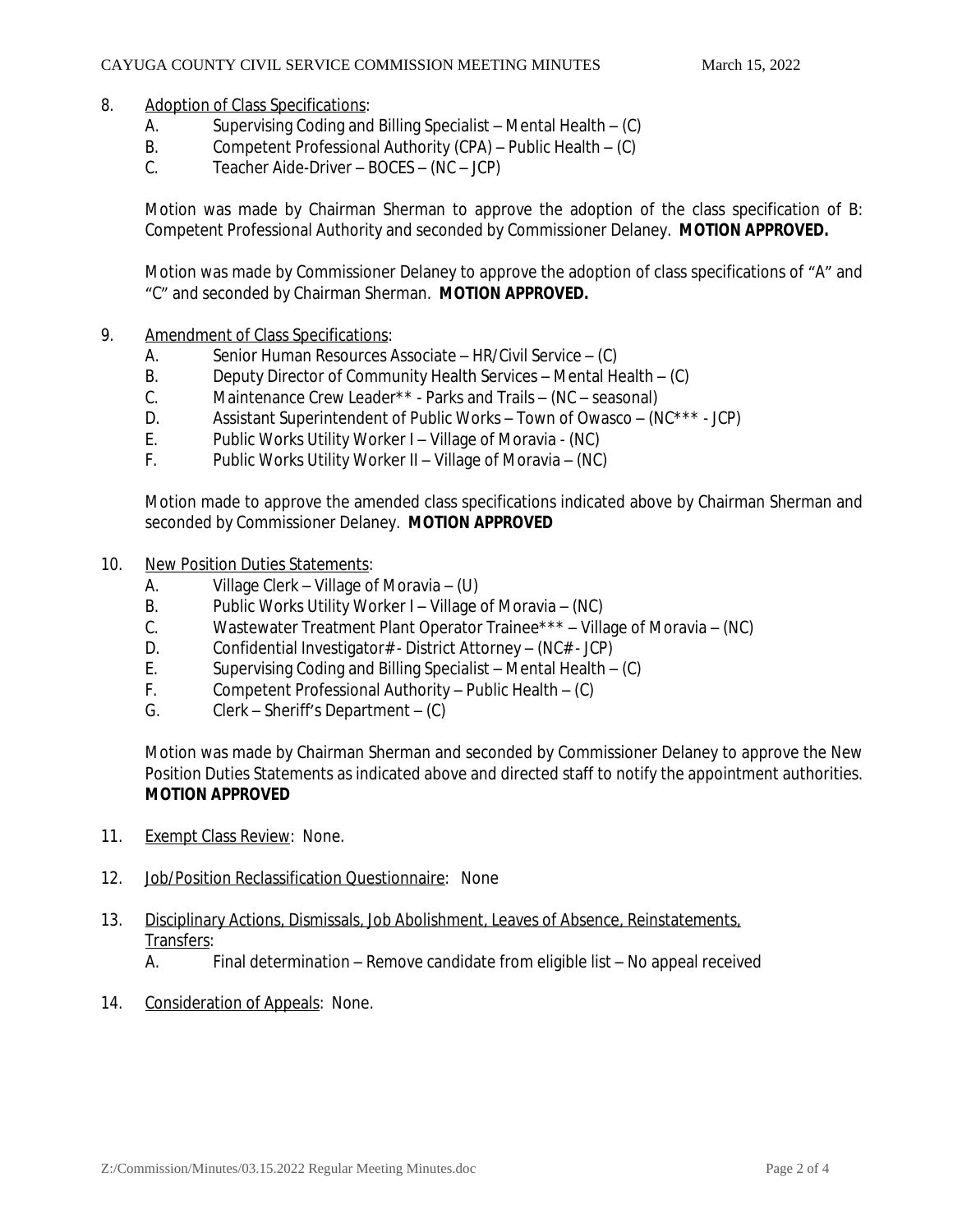#### 8. Adoption of Class Specifications:

- A. Supervising Coding and Billing Specialist Mental Health (C)
- B. Competent Professional Authority (CPA) Public Health (C)
- C. Teacher Aide-Driver BOCES (NC JCP)

Motion was made by Chairman Sherman to approve the adoption of the class specification of B: Competent Professional Authority and seconded by Commissioner Delaney. *MOTION APPROVED.*

Motion was made by Commissioner Delaney to approve the adoption of class specifications of "A" and "C" and seconded by Chairman Sherman. *MOTION APPROVED.*

- 9. Amendment of Class Specifications:
	- A. Senior Human Resources Associate HR/Civil Service (C)
	- B. Deputy Director of Community Health Services Mental Health (C)
	- C. Maintenance Crew Leader\*\* Parks and Trails (NC seasonal)
	- D. Assistant Superintendent of Public Works Town of Owasco (NC\*\*\* JCP)
	- E. Public Works Utility Worker I Village of Moravia (NC)
	- F. Public Works Utility Worker II Village of Moravia (NC)

Motion made to approve the amended class specifications indicated above by Chairman Sherman and seconded by Commissioner Delaney. *MOTION APPROVED*

- 10. New Position Duties Statements:
	- A. Village Clerk Village of Moravia (U)
	- B. Public Works Utility Worker I Village of Moravia (NC)
	- C. Wastewater Treatment Plant Operator Trainee\*\*\* Village of Moravia (NC)
	- D. Confidential Investigator# District Attorney (NC# JCP)
	- E. Supervising Coding and Billing Specialist Mental Health (C)
	- F. Competent Professional Authority Public Health (C)
	- G. Clerk Sheriff's Department (C)

Motion was made by Chairman Sherman and seconded by Commissioner Delaney to approve the New Position Duties Statements as indicated above and directed staff to notify the appointment authorities. *MOTION APPROVED*

- 11. Exempt Class Review: None.
- 12. Job/Position Reclassification Questionnaire: None
- 13. Disciplinary Actions, Dismissals, Job Abolishment, Leaves of Absence, Reinstatements, Transfers:<br>A

Final determination – Remove candidate from eligible list – No appeal received

14. Consideration of Appeals: None.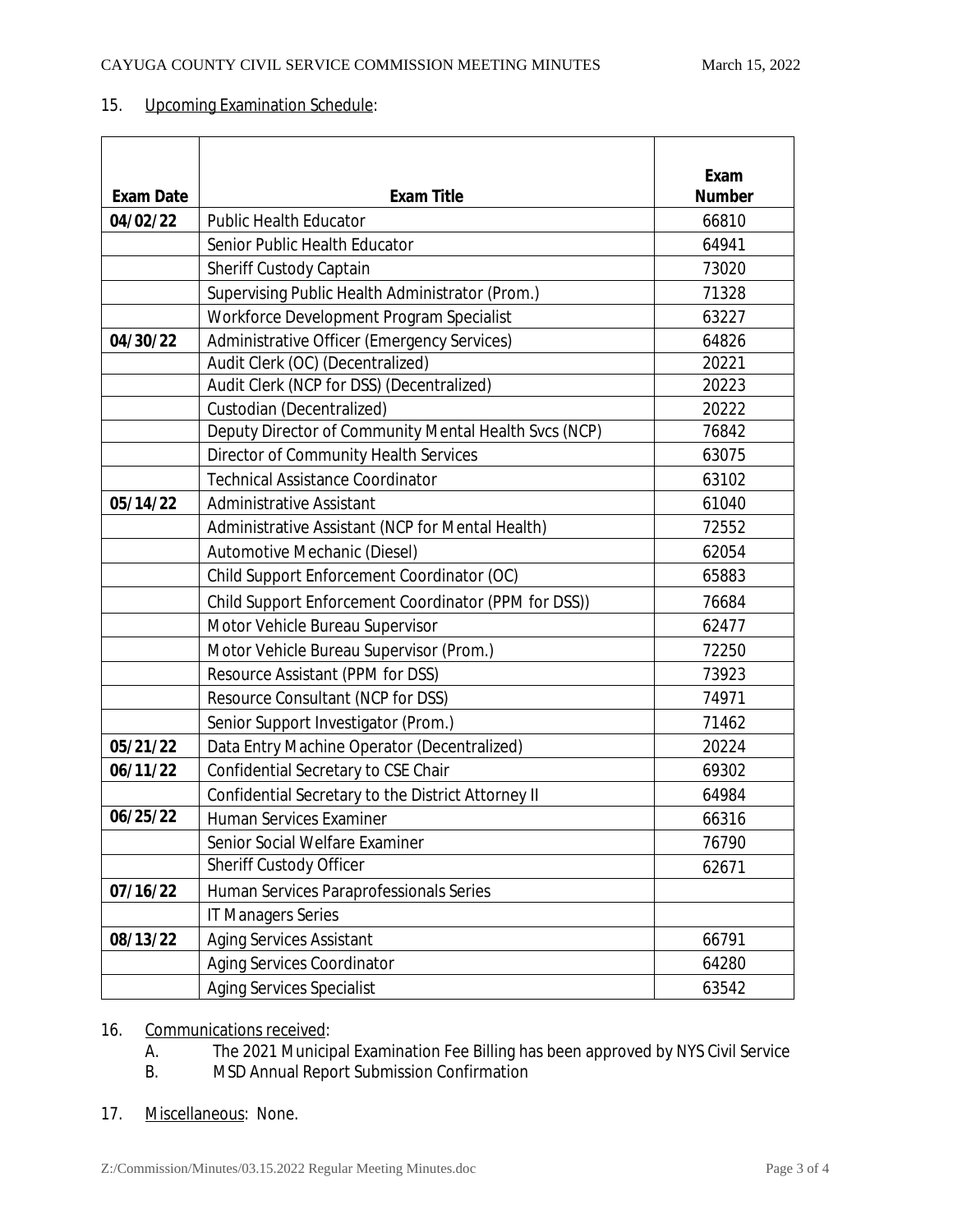## 15. Upcoming Examination Schedule:

|                  |                                                       | Exam          |
|------------------|-------------------------------------------------------|---------------|
| <b>Exam Date</b> | <b>Exam Title</b>                                     | <b>Number</b> |
| 04/02/22         | <b>Public Health Educator</b>                         | 66810         |
|                  | Senior Public Health Educator                         | 64941         |
|                  | Sheriff Custody Captain                               | 73020         |
|                  | Supervising Public Health Administrator (Prom.)       | 71328         |
|                  | Workforce Development Program Specialist              | 63227         |
| 04/30/22         | Administrative Officer (Emergency Services)           | 64826         |
|                  | Audit Clerk (OC) (Decentralized)                      | 20221         |
|                  | Audit Clerk (NCP for DSS) (Decentralized)             | 20223         |
|                  | Custodian (Decentralized)                             | 20222         |
|                  | Deputy Director of Community Mental Health Svcs (NCP) | 76842         |
|                  | Director of Community Health Services                 | 63075         |
|                  | <b>Technical Assistance Coordinator</b>               | 63102         |
| 05/14/22         | Administrative Assistant                              | 61040         |
|                  | Administrative Assistant (NCP for Mental Health)      | 72552         |
|                  | Automotive Mechanic (Diesel)                          | 62054         |
|                  | Child Support Enforcement Coordinator (OC)            | 65883         |
|                  | Child Support Enforcement Coordinator (PPM for DSS))  | 76684         |
|                  | Motor Vehicle Bureau Supervisor                       | 62477         |
|                  | Motor Vehicle Bureau Supervisor (Prom.)               | 72250         |
|                  | Resource Assistant (PPM for DSS)                      | 73923         |
|                  | Resource Consultant (NCP for DSS)                     | 74971         |
|                  | Senior Support Investigator (Prom.)                   | 71462         |
| 05/21/22         | Data Entry Machine Operator (Decentralized)           | 20224         |
| 06/11/22         | Confidential Secretary to CSE Chair                   | 69302         |
|                  | Confidential Secretary to the District Attorney II    | 64984         |
| 06/25/22         | <b>Human Services Examiner</b>                        | 66316         |
|                  | Senior Social Welfare Examiner                        | 76790         |
|                  | Sheriff Custody Officer                               | 62671         |
| 07/16/22         | Human Services Paraprofessionals Series               |               |
|                  | <b>IT Managers Series</b>                             |               |
| 08/13/22         | <b>Aging Services Assistant</b>                       | 66791         |
|                  | <b>Aging Services Coordinator</b>                     | 64280         |
|                  | <b>Aging Services Specialist</b>                      | 63542         |

16. Communications received:<br>A. The 2021 Municir

A. The 2021 Municipal Examination Fee Billing has been approved by NYS Civil Service

MSD Annual Report Submission Confirmation

17. Miscellaneous: None.